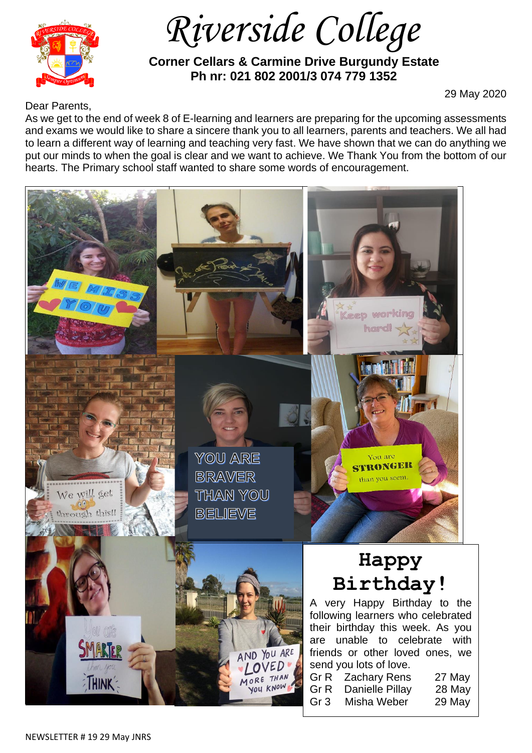

 *Riverside College*

 **Corner Cellars & Carmine Drive Burgundy Estate Ph nr: 021 802 2001/3 074 779 1352**

Dear Parents,

29 May 2020

As we get to the end of week 8 of E-learning and learners are preparing for the upcoming assessments

and exams we would like to share a sincere thank you to all learners, parents and teachers. We all had to learn a different way of learning and teaching very fast. We have shown that we can do anything we put our minds to when the goal is clear and we want to achieve. We Thank You from the bottom of our hearts. The Primary school staff wanted to share some words of encouragement.

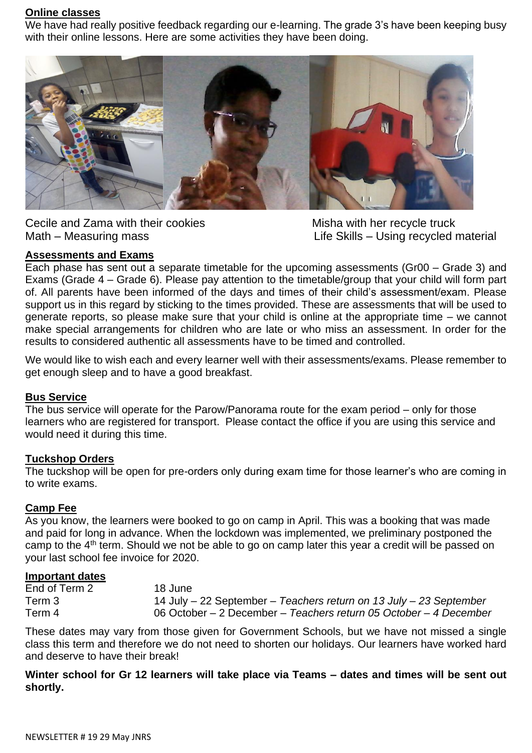#### **Online classes**

We have had really positive feedback regarding our e-learning. The grade 3's have been keeping busy with their online lessons. Here are some activities they have been doing.



Cecile and Zama with their cookies Misha with her recycle truck

Math – Measuring mass **Life Skills – Using recycled material** 

# **Assessments and Exams**

Each phase has sent out a separate timetable for the upcoming assessments (Gr00 – Grade 3) and Exams (Grade 4 – Grade 6). Please pay attention to the timetable/group that your child will form part of. All parents have been informed of the days and times of their child's assessment/exam. Please support us in this regard by sticking to the times provided. These are assessments that will be used to generate reports, so please make sure that your child is online at the appropriate time – we cannot make special arrangements for children who are late or who miss an assessment. In order for the results to considered authentic all assessments have to be timed and controlled.

We would like to wish each and every learner well with their assessments/exams. Please remember to get enough sleep and to have a good breakfast.

### **Bus Service**

The bus service will operate for the Parow/Panorama route for the exam period – only for those learners who are registered for transport. Please contact the office if you are using this service and would need it during this time.

## **Tuckshop Orders**

The tuckshop will be open for pre-orders only during exam time for those learner's who are coming in to write exams.

### **Camp Fee**

As you know, the learners were booked to go on camp in April. This was a booking that was made and paid for long in advance. When the lockdown was implemented, we preliminary postponed the camp to the 4<sup>th</sup> term. Should we not be able to go on camp later this year a credit will be passed on your last school fee invoice for 2020.

### **Important dates**

| End of Term 2 | 18 June                                                                  |
|---------------|--------------------------------------------------------------------------|
| Term 3        | 14 July $-$ 22 September $-$ Teachers return on 13 July $-$ 23 September |
| Term 4        | 06 October – 2 December – Teachers return 05 October – 4 December        |

These dates may vary from those given for Government Schools, but we have not missed a single class this term and therefore we do not need to shorten our holidays. Our learners have worked hard and deserve to have their break!

**Winter school for Gr 12 learners will take place via Teams – dates and times will be sent out shortly.**